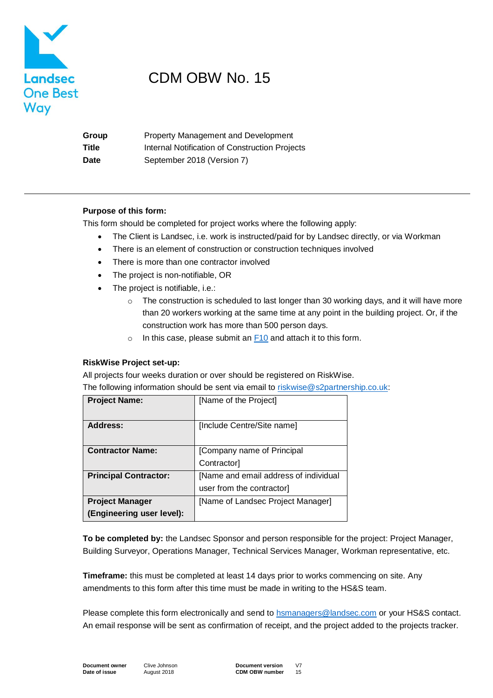

## CDM OBW No. 15

| Group | <b>Property Management and Development</b>     |
|-------|------------------------------------------------|
| Title | Internal Notification of Construction Projects |
| Date  | September 2018 (Version 7)                     |

#### **Purpose of this form:**

This form should be completed for project works where the following apply:

- The Client is Landsec, i.e. work is instructed/paid for by Landsec directly, or via Workman
- There is an element of construction or construction techniques involved
- There is more than one contractor involved
- The project is non-notifiable, OR
- The project is notifiable, i.e.:
	- $\circ$  The construction is scheduled to last longer than 30 working days, and it will have more than 20 workers working at the same time at any point in the building project. Or, if the construction work has more than 500 person days.
	- o In this case, please submit an [F10](https://www.hse.gov.uk/forms/notification/f10.htm) and attach it to this form.

#### **RiskWise Project set-up:**

All projects four weeks duration or over should be registered on RiskWise.

The following information should be sent via email to [riskwise@s2partnership.co.uk:](mailto:riskwise@s2partnership.co.uk)

| <b>Project Name:</b>         | [Name of the Project]                 |  |
|------------------------------|---------------------------------------|--|
|                              |                                       |  |
| <b>Address:</b>              | [Include Centre/Site name]            |  |
|                              |                                       |  |
| <b>Contractor Name:</b>      | [Company name of Principal            |  |
|                              | Contractor                            |  |
| <b>Principal Contractor:</b> | [Name and email address of individual |  |
|                              | user from the contractor]             |  |
| <b>Project Manager</b>       | [Name of Landsec Project Manager]     |  |
| (Engineering user level):    |                                       |  |

**To be completed by:** the Landsec Sponsor and person responsible for the project: Project Manager, Building Surveyor, Operations Manager, Technical Services Manager, Workman representative, etc.

**Timeframe:** this must be completed at least 14 days prior to works commencing on site. Any amendments to this form after this time must be made in writing to the HS&S team.

Please complete this form electronically and send to [hsmanagers@landsec.com](mailto:hsmanagers@landsec.com) or your HS&S contact. An email response will be sent as confirmation of receipt, and the project added to the projects tracker.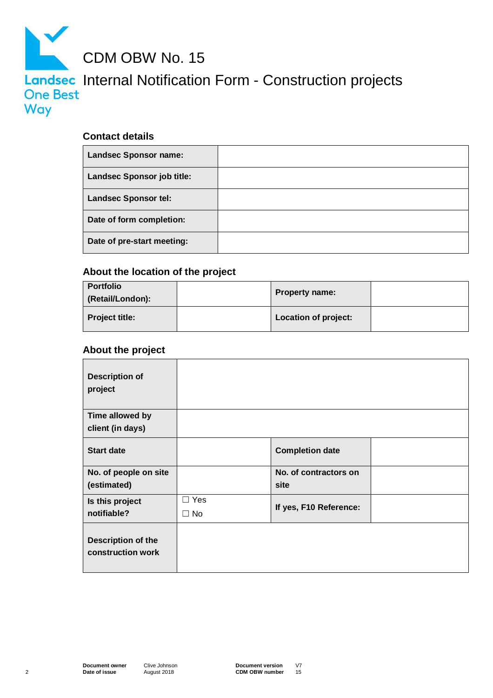

### **Contact details**

| <b>Landsec Sponsor name:</b>      |  |
|-----------------------------------|--|
| <b>Landsec Sponsor job title:</b> |  |
| <b>Landsec Sponsor tel:</b>       |  |
| Date of form completion:          |  |
| Date of pre-start meeting:        |  |

### **About the location of the project**

| <b>Portfolio</b><br>(Retail/London): | <b>Property name:</b> |  |
|--------------------------------------|-----------------------|--|
| <b>Project title:</b>                | Location of project:  |  |

### **About the project**

| <b>Description of</b><br>project        |            |                        |  |
|-----------------------------------------|------------|------------------------|--|
| Time allowed by                         |            |                        |  |
| client (in days)                        |            |                        |  |
| <b>Start date</b>                       |            | <b>Completion date</b> |  |
| No. of people on site                   |            | No. of contractors on  |  |
| (estimated)                             |            | site                   |  |
| Is this project                         | $\Box$ Yes |                        |  |
| notifiable?                             | $\Box$ No  | If yes, F10 Reference: |  |
| Description of the<br>construction work |            |                        |  |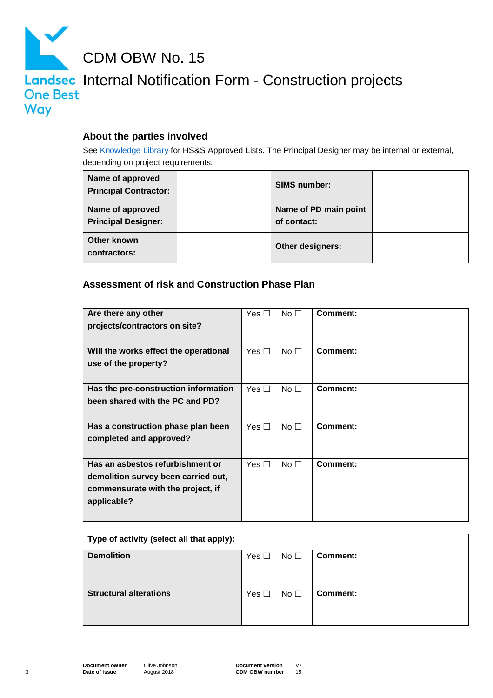

CDM OBW No. 15

# Landsec Internal Notification Form - Construction projects Way

### **About the parties involved**

See [Knowledge Library](https://landlink.landsec.com/sites/knowledgelibrary/HealthAndSafety/Pages/The%20Construction%20%28Design%20and%20Management%29%20Regulations%202015%20-%20construction%20projects.aspx) for HS&S Approved Lists. The Principal Designer may be internal or external, depending on project requirements.

| Name of approved<br><b>Principal Contractor:</b> | <b>SIMS number:</b>                  |  |
|--------------------------------------------------|--------------------------------------|--|
| Name of approved<br><b>Principal Designer:</b>   | Name of PD main point<br>of contact: |  |
| Other known<br>contractors:                      | Other designers:                     |  |

### **Assessment of risk and Construction Phase Plan**

| Yes [<br>$\sim$ | No <sub>1</sub> | Comment:        |
|-----------------|-----------------|-----------------|
|                 |                 |                 |
|                 |                 |                 |
| Yes $\Box$      | No <sub>1</sub> | Comment:        |
|                 |                 |                 |
|                 |                 |                 |
| Yes $\Box$      | No <sub>1</sub> | <b>Comment:</b> |
|                 |                 |                 |
|                 |                 |                 |
| Yes $\Box$      | No <sub>1</sub> | Comment:        |
|                 |                 |                 |
|                 |                 |                 |
| Yes $\Box$      | No <sub>1</sub> | Comment:        |
|                 |                 |                 |
|                 |                 |                 |
|                 |                 |                 |
|                 |                 |                 |
|                 |                 |                 |

| Type of activity (select all that apply): |            |                 |                 |
|-------------------------------------------|------------|-----------------|-----------------|
| <b>Demolition</b>                         | Yes $\Box$ | No <sub>1</sub> | <b>Comment:</b> |
| <b>Structural alterations</b>             | Yes $\Box$ | No $\square$    | Comment:        |